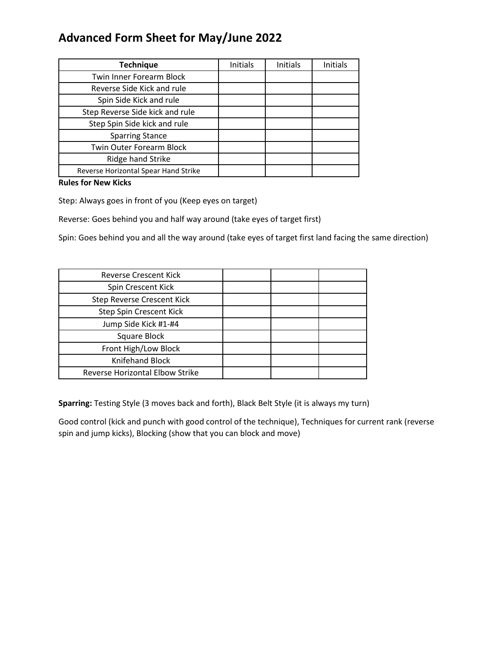## **Advanced Form Sheet for May/June 2022**

| <b>Technique</b>                     | Initials | Initials | Initials |
|--------------------------------------|----------|----------|----------|
| Twin Inner Forearm Block             |          |          |          |
| Reverse Side Kick and rule           |          |          |          |
| Spin Side Kick and rule              |          |          |          |
| Step Reverse Side kick and rule      |          |          |          |
| Step Spin Side kick and rule         |          |          |          |
| <b>Sparring Stance</b>               |          |          |          |
| <b>Twin Outer Forearm Block</b>      |          |          |          |
| Ridge hand Strike                    |          |          |          |
| Reverse Horizontal Spear Hand Strike |          |          |          |

**Rules for New Kicks** 

Step: Always goes in front of you (Keep eyes on target)

Reverse: Goes behind you and half way around (take eyes of target first)

Spin: Goes behind you and all the way around (take eyes of target first land facing the same direction)

| Reverse Crescent Kick                  |  |
|----------------------------------------|--|
| Spin Crescent Kick                     |  |
| <b>Step Reverse Crescent Kick</b>      |  |
| Step Spin Crescent Kick                |  |
| Jump Side Kick #1-#4                   |  |
| Square Block                           |  |
| Front High/Low Block                   |  |
| <b>Knifehand Block</b>                 |  |
| <b>Reverse Horizontal Elbow Strike</b> |  |

**Sparring:** Testing Style (3 moves back and forth), Black Belt Style (it is always my turn)

Good control (kick and punch with good control of the technique), Techniques for current rank (reverse spin and jump kicks), Blocking (show that you can block and move)